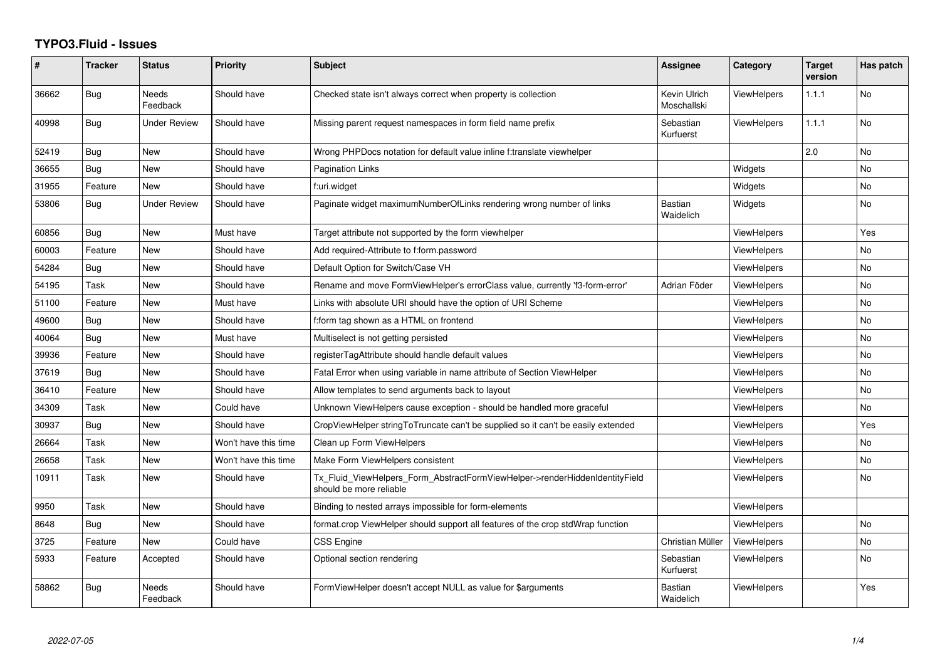## **TYPO3.Fluid - Issues**

| ∦     | <b>Tracker</b> | <b>Status</b>            | <b>Priority</b>      | <b>Subject</b>                                                                                         | Assignee                    | Category           | <b>Target</b><br>version | Has patch |
|-------|----------------|--------------------------|----------------------|--------------------------------------------------------------------------------------------------------|-----------------------------|--------------------|--------------------------|-----------|
| 36662 | <b>Bug</b>     | <b>Needs</b><br>Feedback | Should have          | Checked state isn't always correct when property is collection                                         | Kevin Ulrich<br>Moschallski | <b>ViewHelpers</b> | 1.1.1                    | <b>No</b> |
| 40998 | Bug            | <b>Under Review</b>      | Should have          | Missing parent request namespaces in form field name prefix                                            | Sebastian<br>Kurfuerst      | <b>ViewHelpers</b> | 1.1.1                    | No        |
| 52419 | Bug            | <b>New</b>               | Should have          | Wrong PHPDocs notation for default value inline f:translate viewhelper                                 |                             |                    | 2.0                      | <b>No</b> |
| 36655 | Bug            | New                      | Should have          | Pagination Links                                                                                       |                             | Widgets            |                          | <b>No</b> |
| 31955 | Feature        | New                      | Should have          | f:uri.widget                                                                                           |                             | Widgets            |                          | No        |
| 53806 | Bug            | <b>Under Review</b>      | Should have          | Paginate widget maximumNumberOfLinks rendering wrong number of links                                   | <b>Bastian</b><br>Waidelich | Widgets            |                          | <b>No</b> |
| 60856 | Bug            | New                      | Must have            | Target attribute not supported by the form viewhelper                                                  |                             | ViewHelpers        |                          | Yes       |
| 60003 | Feature        | New                      | Should have          | Add required-Attribute to f:form.password                                                              |                             | <b>ViewHelpers</b> |                          | No        |
| 54284 | Bug            | <b>New</b>               | Should have          | Default Option for Switch/Case VH                                                                      |                             | <b>ViewHelpers</b> |                          | No        |
| 54195 | Task           | New                      | Should have          | Rename and move FormViewHelper's errorClass value, currently 'f3-form-error'                           | Adrian Föder                | <b>ViewHelpers</b> |                          | No        |
| 51100 | Feature        | New                      | Must have            | Links with absolute URI should have the option of URI Scheme                                           |                             | ViewHelpers        |                          | No.       |
| 49600 | Bug            | New                      | Should have          | f:form tag shown as a HTML on frontend                                                                 |                             | <b>ViewHelpers</b> |                          | No        |
| 40064 | Bug            | New                      | Must have            | Multiselect is not getting persisted                                                                   |                             | ViewHelpers        |                          | <b>No</b> |
| 39936 | Feature        | New                      | Should have          | registerTagAttribute should handle default values                                                      |                             | <b>ViewHelpers</b> |                          | No        |
| 37619 | Bug            | <b>New</b>               | Should have          | Fatal Error when using variable in name attribute of Section ViewHelper                                |                             | <b>ViewHelpers</b> |                          | <b>No</b> |
| 36410 | Feature        | New                      | Should have          | Allow templates to send arguments back to layout                                                       |                             | ViewHelpers        |                          | No.       |
| 34309 | Task           | New                      | Could have           | Unknown ViewHelpers cause exception - should be handled more graceful                                  |                             | <b>ViewHelpers</b> |                          | No        |
| 30937 | Bug            | <b>New</b>               | Should have          | CropViewHelper stringToTruncate can't be supplied so it can't be easily extended                       |                             | ViewHelpers        |                          | Yes       |
| 26664 | Task           | New                      | Won't have this time | Clean up Form ViewHelpers                                                                              |                             | <b>ViewHelpers</b> |                          | No        |
| 26658 | Task           | <b>New</b>               | Won't have this time | Make Form ViewHelpers consistent                                                                       |                             | ViewHelpers        |                          | <b>No</b> |
| 10911 | Task           | New                      | Should have          | Tx_Fluid_ViewHelpers_Form_AbstractFormViewHelper->renderHiddenIdentityField<br>should be more reliable |                             | <b>ViewHelpers</b> |                          | No        |
| 9950  | Task           | New                      | Should have          | Binding to nested arrays impossible for form-elements                                                  |                             | <b>ViewHelpers</b> |                          |           |
| 8648  | Bug            | <b>New</b>               | Should have          | format.crop ViewHelper should support all features of the crop stdWrap function                        |                             | <b>ViewHelpers</b> |                          | No.       |
| 3725  | Feature        | New                      | Could have           | CSS Engine                                                                                             | Christian Müller            | <b>ViewHelpers</b> |                          | <b>No</b> |
| 5933  | Feature        | Accepted                 | Should have          | Optional section rendering                                                                             | Sebastian<br>Kurfuerst      | <b>ViewHelpers</b> |                          | No.       |
| 58862 | Bug            | Needs<br>Feedback        | Should have          | FormViewHelper doesn't accept NULL as value for \$arguments                                            | <b>Bastian</b><br>Waidelich | ViewHelpers        |                          | Yes       |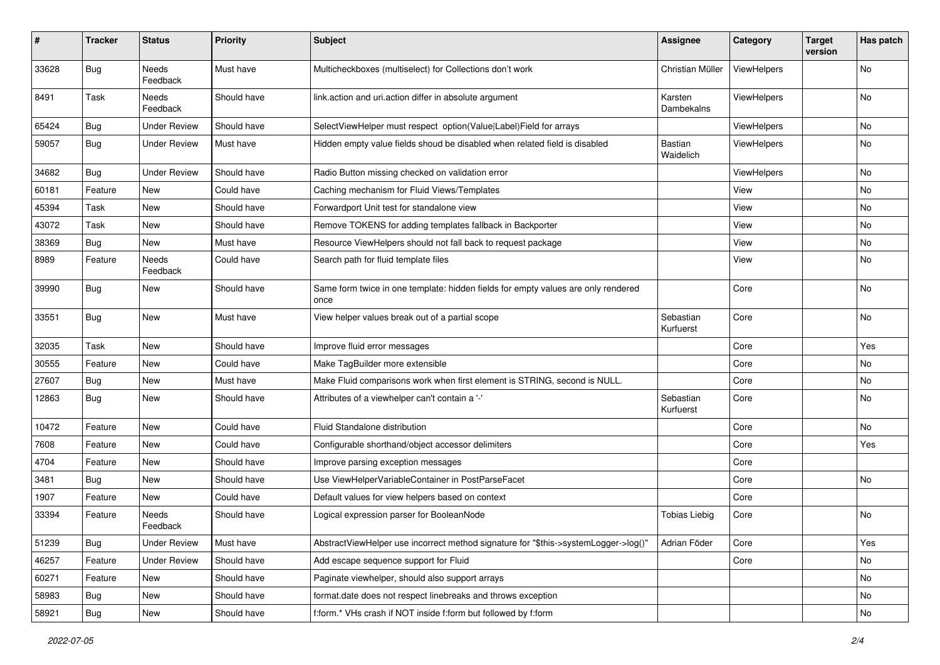| $\vert$ # | <b>Tracker</b> | <b>Status</b>       | <b>Priority</b> | <b>Subject</b>                                                                            | Assignee                    | Category    | <b>Target</b><br>version | Has patch |
|-----------|----------------|---------------------|-----------------|-------------------------------------------------------------------------------------------|-----------------------------|-------------|--------------------------|-----------|
| 33628     | Bug            | Needs<br>Feedback   | Must have       | Multicheckboxes (multiselect) for Collections don't work                                  | Christian Müller            | ViewHelpers |                          | <b>No</b> |
| 8491      | Task           | Needs<br>Feedback   | Should have     | link.action and uri.action differ in absolute argument                                    | Karsten<br>Dambekalns       | ViewHelpers |                          | No        |
| 65424     | Bug            | <b>Under Review</b> | Should have     | SelectViewHelper must respect option(Value Label)Field for arrays                         |                             | ViewHelpers |                          | No        |
| 59057     | Bug            | <b>Under Review</b> | Must have       | Hidden empty value fields shoud be disabled when related field is disabled                | <b>Bastian</b><br>Waidelich | ViewHelpers |                          | No        |
| 34682     | Bug            | <b>Under Review</b> | Should have     | Radio Button missing checked on validation error                                          |                             | ViewHelpers |                          | <b>No</b> |
| 60181     | Feature        | New                 | Could have      | Caching mechanism for Fluid Views/Templates                                               |                             | View        |                          | No        |
| 45394     | Task           | New                 | Should have     | Forwardport Unit test for standalone view                                                 |                             | View        |                          | No        |
| 43072     | Task           | New                 | Should have     | Remove TOKENS for adding templates fallback in Backporter                                 |                             | View        |                          | No        |
| 38369     | <b>Bug</b>     | <b>New</b>          | Must have       | Resource ViewHelpers should not fall back to request package                              |                             | View        |                          | No        |
| 8989      | Feature        | Needs<br>Feedback   | Could have      | Search path for fluid template files                                                      |                             | View        |                          | No        |
| 39990     | Bug            | New                 | Should have     | Same form twice in one template: hidden fields for empty values are only rendered<br>once |                             | Core        |                          | No        |
| 33551     | <b>Bug</b>     | New                 | Must have       | View helper values break out of a partial scope                                           | Sebastian<br>Kurfuerst      | Core        |                          | No        |
| 32035     | Task           | New                 | Should have     | Improve fluid error messages                                                              |                             | Core        |                          | Yes       |
| 30555     | Feature        | New                 | Could have      | Make TagBuilder more extensible                                                           |                             | Core        |                          | No        |
| 27607     | <b>Bug</b>     | New                 | Must have       | Make Fluid comparisons work when first element is STRING, second is NULL.                 |                             | Core        |                          | No        |
| 12863     | Bug            | New                 | Should have     | Attributes of a viewhelper can't contain a '-'                                            | Sebastian<br>Kurfuerst      | Core        |                          | No        |
| 10472     | Feature        | New                 | Could have      | Fluid Standalone distribution                                                             |                             | Core        |                          | No        |
| 7608      | Feature        | New                 | Could have      | Configurable shorthand/object accessor delimiters                                         |                             | Core        |                          | Yes       |
| 4704      | Feature        | New                 | Should have     | Improve parsing exception messages                                                        |                             | Core        |                          |           |
| 3481      | Bug            | New                 | Should have     | Use ViewHelperVariableContainer in PostParseFacet                                         |                             | Core        |                          | No        |
| 1907      | Feature        | New                 | Could have      | Default values for view helpers based on context                                          |                             | Core        |                          |           |
| 33394     | Feature        | Needs<br>Feedback   | Should have     | Logical expression parser for BooleanNode                                                 | <b>Tobias Liebig</b>        | Core        |                          | <b>No</b> |
| 51239     | <b>Bug</b>     | <b>Under Review</b> | Must have       | AbstractViewHelper use incorrect method signature for "\$this->systemLogger->log()"       | Adrian Föder                | Core        |                          | Yes       |
| 46257     | Feature        | <b>Under Review</b> | Should have     | Add escape sequence support for Fluid                                                     |                             | Core        |                          | No        |
| 60271     | Feature        | New                 | Should have     | Paginate viewhelper, should also support arrays                                           |                             |             |                          | No        |
| 58983     | <b>Bug</b>     | New                 | Should have     | format.date does not respect linebreaks and throws exception                              |                             |             |                          | No        |
| 58921     | Bug            | New                 | Should have     | f:form.* VHs crash if NOT inside f:form but followed by f:form                            |                             |             |                          | No        |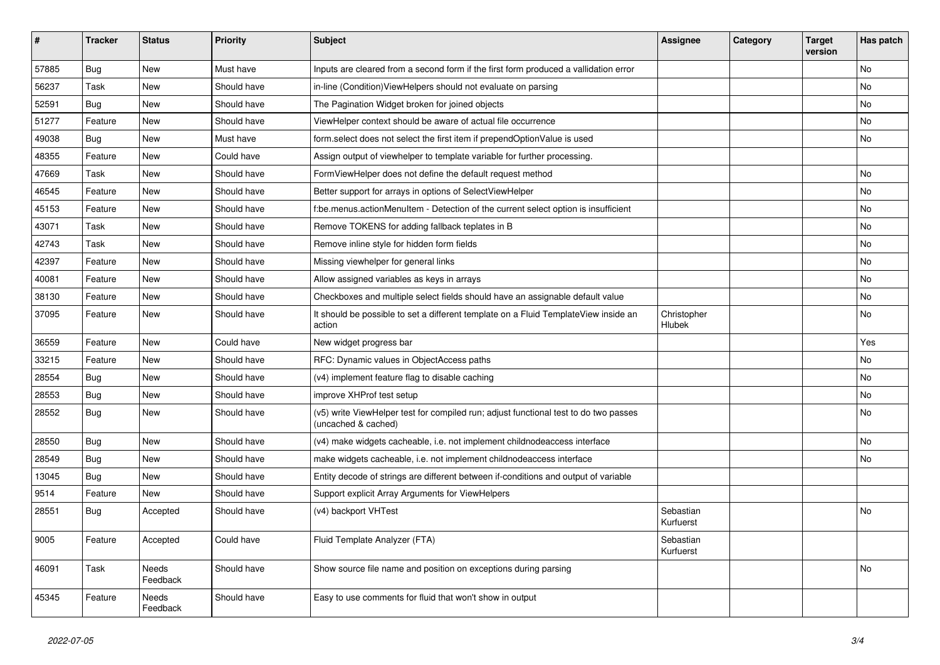| ∦     | <b>Tracker</b> | <b>Status</b>     | <b>Priority</b> | <b>Subject</b>                                                                                              | <b>Assignee</b>              | Category | Target<br>version | Has patch |
|-------|----------------|-------------------|-----------------|-------------------------------------------------------------------------------------------------------------|------------------------------|----------|-------------------|-----------|
| 57885 | Bug            | <b>New</b>        | Must have       | Inputs are cleared from a second form if the first form produced a vallidation error                        |                              |          |                   | <b>No</b> |
| 56237 | Task           | <b>New</b>        | Should have     | in-line (Condition)ViewHelpers should not evaluate on parsing                                               |                              |          |                   | <b>No</b> |
| 52591 | Bug            | New               | Should have     | The Pagination Widget broken for joined objects                                                             |                              |          |                   | No        |
| 51277 | Feature        | <b>New</b>        | Should have     | ViewHelper context should be aware of actual file occurrence                                                |                              |          |                   | <b>No</b> |
| 49038 | Bug            | <b>New</b>        | Must have       | form.select does not select the first item if prependOptionValue is used                                    |                              |          |                   | <b>No</b> |
| 48355 | Feature        | New               | Could have      | Assign output of viewhelper to template variable for further processing.                                    |                              |          |                   |           |
| 47669 | Task           | New               | Should have     | FormViewHelper does not define the default request method                                                   |                              |          |                   | No        |
| 46545 | Feature        | New               | Should have     | Better support for arrays in options of SelectViewHelper                                                    |                              |          |                   | No        |
| 45153 | Feature        | New               | Should have     | f:be.menus.actionMenuItem - Detection of the current select option is insufficient                          |                              |          |                   | No        |
| 43071 | Task           | New               | Should have     | Remove TOKENS for adding fallback teplates in B                                                             |                              |          |                   | No        |
| 42743 | Task           | New               | Should have     | Remove inline style for hidden form fields                                                                  |                              |          |                   | No        |
| 42397 | Feature        | New               | Should have     | Missing viewhelper for general links                                                                        |                              |          |                   | No        |
| 40081 | Feature        | New               | Should have     | Allow assigned variables as keys in arrays                                                                  |                              |          |                   | No        |
| 38130 | Feature        | New               | Should have     | Checkboxes and multiple select fields should have an assignable default value                               |                              |          |                   | No        |
| 37095 | Feature        | New               | Should have     | It should be possible to set a different template on a Fluid TemplateView inside an<br>action               | Christopher<br><b>Hlubek</b> |          |                   | No        |
| 36559 | Feature        | <b>New</b>        | Could have      | New widget progress bar                                                                                     |                              |          |                   | Yes       |
| 33215 | Feature        | New               | Should have     | RFC: Dynamic values in ObjectAccess paths                                                                   |                              |          |                   | No        |
| 28554 | <b>Bug</b>     | <b>New</b>        | Should have     | (v4) implement feature flag to disable caching                                                              |                              |          |                   | <b>No</b> |
| 28553 | <b>Bug</b>     | <b>New</b>        | Should have     | improve XHProf test setup                                                                                   |                              |          |                   | <b>No</b> |
| 28552 | Bug            | <b>New</b>        | Should have     | (v5) write ViewHelper test for compiled run; adjust functional test to do two passes<br>(uncached & cached) |                              |          |                   | No        |
| 28550 | <b>Bug</b>     | New               | Should have     | (v4) make widgets cacheable, i.e. not implement childnodeaccess interface                                   |                              |          |                   | No        |
| 28549 | Bug            | New               | Should have     | make widgets cacheable, i.e. not implement childnodeaccess interface                                        |                              |          |                   | No        |
| 13045 | Bug            | New               | Should have     | Entity decode of strings are different between if-conditions and output of variable                         |                              |          |                   |           |
| 9514  | Feature        | New               | Should have     | Support explicit Array Arguments for ViewHelpers                                                            |                              |          |                   |           |
| 28551 | Bug            | Accepted          | Should have     | (v4) backport VHTest                                                                                        | Sebastian<br>Kurfuerst       |          |                   | No        |
| 9005  | Feature        | Accepted          | Could have      | Fluid Template Analyzer (FTA)                                                                               | Sebastian<br>Kurfuerst       |          |                   |           |
| 46091 | Task           | Needs<br>Feedback | Should have     | Show source file name and position on exceptions during parsing                                             |                              |          |                   | No        |
| 45345 | Feature        | Needs<br>Feedback | Should have     | Easy to use comments for fluid that won't show in output                                                    |                              |          |                   |           |